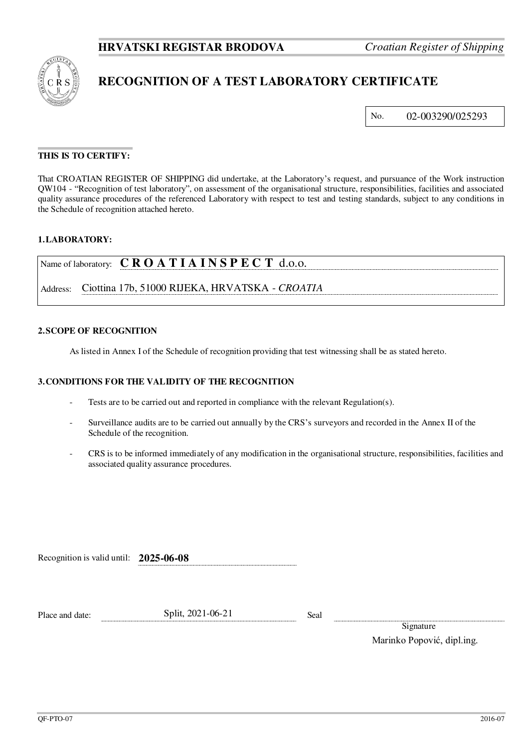

# **RECOGNITION OF A TEST LABORATORY CERTIFICATE**

No. 02-003290/025293

# **THIS IS TO CERTIFY:**

That CROATIAN REGISTER OF SHIPPING did undertake, at the Laboratory's request, and pursuance of the Work instruction QW104 - "Recognition of test laboratory", on assessment of the organisational structure, responsibilities, facilities and associated quality assurance procedures of the referenced Laboratory with respect to test and testing standards, subject to any conditions in the Schedule of recognition attached hereto.

#### **1. LABORATORY:**

|          | Name of laboratory: $C \, R \, O \, A \, T \, I \, A \, I \, N \, S \, P \, E \, C \, T \, d.o.o.$ |
|----------|----------------------------------------------------------------------------------------------------|
| Address: | Ciottina 17b, 51000 RIJEKA, HRVATSKA - CROATIA                                                     |

### **2. SCOPE OF RECOGNITION**

As listed in Annex I of the Schedule of recognition providing that test witnessing shall be as stated hereto.

#### **3. CONDITIONS FOR THE VALIDITY OF THE RECOGNITION**

- Tests are to be carried out and reported in compliance with the relevant Regulation(s).
- Surveillance audits are to be carried out annually by the CRS's surveyors and recorded in the Annex II of the Schedule of the recognition.
- CRS is to be informed immediately of any modification in the organisational structure, responsibilities, facilities and associated quality assurance procedures.

Recognition is valid until: **2025-06-08**

| Place and date: | Split, 2021-06-21 | Seal |
|-----------------|-------------------|------|
|-----------------|-------------------|------|

**Signature** Marinko Popović, dipl.ing.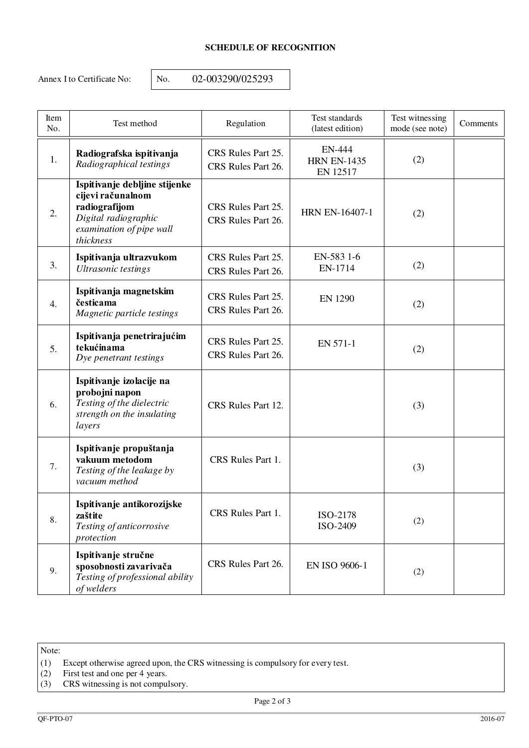# **SCHEDULE OF RECOGNITION**

Annex I to Certificate No: <br> No. 02-003290/025293

| Item<br>No. | Test method                                                                                                                          | Regulation                                                        | Test standards<br>(latest edition)       | Test witnessing<br>mode (see note) | Comments |
|-------------|--------------------------------------------------------------------------------------------------------------------------------------|-------------------------------------------------------------------|------------------------------------------|------------------------------------|----------|
| 1.          | Radiografska ispitivanja<br>Radiographical testings                                                                                  | CRS Rules Part 25.<br>CRS Rules Part 26.                          | EN-444<br><b>HRN EN-1435</b><br>EN 12517 | (2)                                |          |
| 2.          | Ispitivanje debljine stijenke<br>cijevi računalnom<br>radiografijom<br>Digital radiographic<br>examination of pipe wall<br>thickness | CRS Rules Part 25.<br>CRS Rules Part 26.                          | <b>HRN EN-16407-1</b>                    | (2)                                |          |
| 3.          | Ispitivanja ultrazvukom<br>Ultrasonic testings                                                                                       | CRS Rules Part 25.<br>EN-583 1-6<br>EN-1714<br>CRS Rules Part 26. |                                          | (2)                                |          |
| 4.          | Ispitivanja magnetskim<br>česticama<br>Magnetic particle testings                                                                    | CRS Rules Part 25.<br>CRS Rules Part 26.                          | <b>EN 1290</b>                           | (2)                                |          |
| 5.          | Ispitivanja penetrirajućim<br>tekućinama<br>Dye penetrant testings                                                                   | CRS Rules Part 25.<br>CRS Rules Part 26.                          | EN 571-1                                 | (2)                                |          |
| 6.          | Ispitivanje izolacije na<br>probojni napon<br>Testing of the dielectric<br>strength on the insulating<br>layers                      | CRS Rules Part 12.                                                |                                          | (3)                                |          |
| 7.          | Ispitivanje propuštanja<br>vakuum metodom<br>Testing of the leakage by<br>vacuum method                                              | CRS Rules Part 1.                                                 |                                          | (3)                                |          |
| 8.          | Ispitivanje antikorozijske<br>zaštite<br>Testing of anticorrosive<br>protection                                                      | CRS Rules Part 1.                                                 | ISO-2178<br>ISO-2409                     | (2)                                |          |
| 9.          | Ispitivanje stručne<br>sposobnosti zavarivača<br>Testing of professional ability<br>of welders                                       | CRS Rules Part 26.                                                | <b>EN ISO 9606-1</b>                     | (2)                                |          |

Note:

- (1) Except otherwise agreed upon, the CRS witnessing is compulsory for every test.
- (2) First test and one per 4 years.
- (3) CRS witnessing is not compulsory.

Page 2 of 3